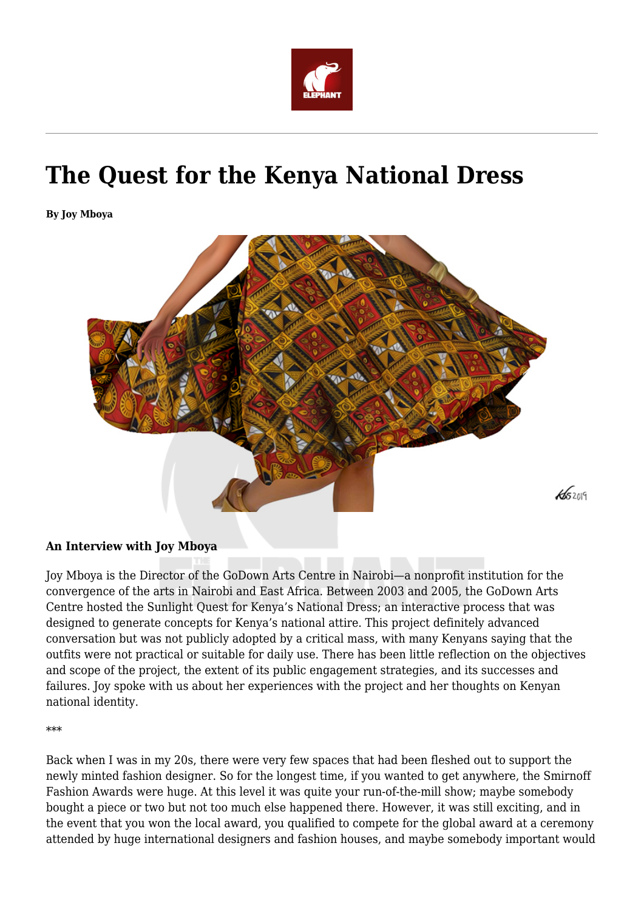

# **The Quest for the Kenya National Dress**

**By Joy Mboya**



#### **An Interview with Joy Mboya**

Joy Mboya is the Director of the GoDown Arts Centre in Nairobi—a nonprofit institution for the convergence of the arts in Nairobi and East Africa. Between 2003 and 2005, the GoDown Arts Centre hosted the Sunlight Quest for Kenya's National Dress; an interactive process that was designed to generate concepts for Kenya's national attire. This project definitely advanced conversation but was not publicly adopted by a critical mass, with many Kenyans saying that the outfits were not practical or suitable for daily use. There has been little reflection on the objectives and scope of the project, the extent of its public engagement strategies, and its successes and failures. Joy spoke with us about her experiences with the project and her thoughts on Kenyan national identity.

\*\*\*

Back when I was in my 20s, there were very few spaces that had been fleshed out to support the newly minted fashion designer. So for the longest time, if you wanted to get anywhere, the Smirnoff Fashion Awards were huge. At this level it was quite your run-of-the-mill show; maybe somebody bought a piece or two but not too much else happened there. However, it was still exciting, and in the event that you won the local award, you qualified to compete for the global award at a ceremony attended by huge international designers and fashion houses, and maybe somebody important would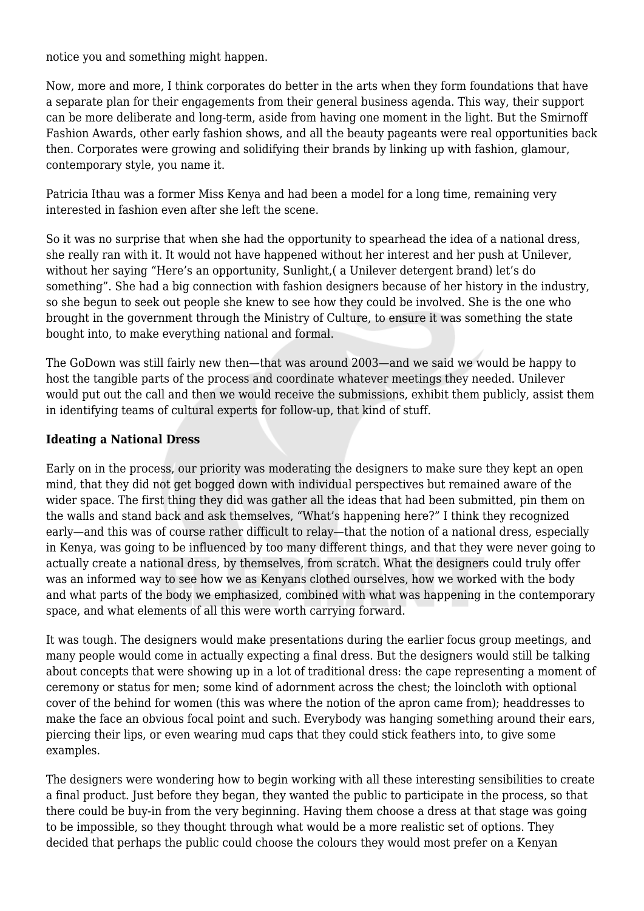notice you and something might happen.

Now, more and more, I think corporates do better in the arts when they form foundations that have a separate plan for their engagements from their general business agenda. This way, their support can be more deliberate and long-term, aside from having one moment in the light. But the Smirnoff Fashion Awards, other early fashion shows, and all the beauty pageants were real opportunities back then. Corporates were growing and solidifying their brands by linking up with fashion, glamour, contemporary style, you name it.

Patricia Ithau was a former Miss Kenya and had been a model for a long time, remaining very interested in fashion even after she left the scene.

So it was no surprise that when she had the opportunity to spearhead the idea of a national dress, she really ran with it. It would not have happened without her interest and her push at Unilever, without her saying "Here's an opportunity, Sunlight,( a Unilever detergent brand) let's do something". She had a big connection with fashion designers because of her history in the industry, so she begun to seek out people she knew to see how they could be involved. She is the one who brought in the government through the Ministry of Culture, to ensure it was something the state bought into, to make everything national and formal.

The GoDown was still fairly new then—that was around 2003—and we said we would be happy to host the tangible parts of the process and coordinate whatever meetings they needed. Unilever would put out the call and then we would receive the submissions, exhibit them publicly, assist them in identifying teams of cultural experts for follow-up, that kind of stuff.

#### **Ideating a National Dress**

Early on in the process, our priority was moderating the designers to make sure they kept an open mind, that they did not get bogged down with individual perspectives but remained aware of the wider space. The first thing they did was gather all the ideas that had been submitted, pin them on the walls and stand back and ask themselves, "What's happening here?" I think they recognized early—and this was of course rather difficult to relay—that the notion of a national dress, especially in Kenya, was going to be influenced by too many different things, and that they were never going to actually create a national dress, by themselves, from scratch. What the designers could truly offer was an informed way to see how we as Kenyans clothed ourselves, how we worked with the body and what parts of the body we emphasized, combined with what was happening in the contemporary space, and what elements of all this were worth carrying forward.

It was tough. The designers would make presentations during the earlier focus group meetings, and many people would come in actually expecting a final dress. But the designers would still be talking about concepts that were showing up in a lot of traditional dress: the cape representing a moment of ceremony or status for men; some kind of adornment across the chest; the loincloth with optional cover of the behind for women (this was where the notion of the apron came from); headdresses to make the face an obvious focal point and such. Everybody was hanging something around their ears, piercing their lips, or even wearing mud caps that they could stick feathers into, to give some examples.

The designers were wondering how to begin working with all these interesting sensibilities to create a final product. Just before they began, they wanted the public to participate in the process, so that there could be buy-in from the very beginning. Having them choose a dress at that stage was going to be impossible, so they thought through what would be a more realistic set of options. They decided that perhaps the public could choose the colours they would most prefer on a Kenyan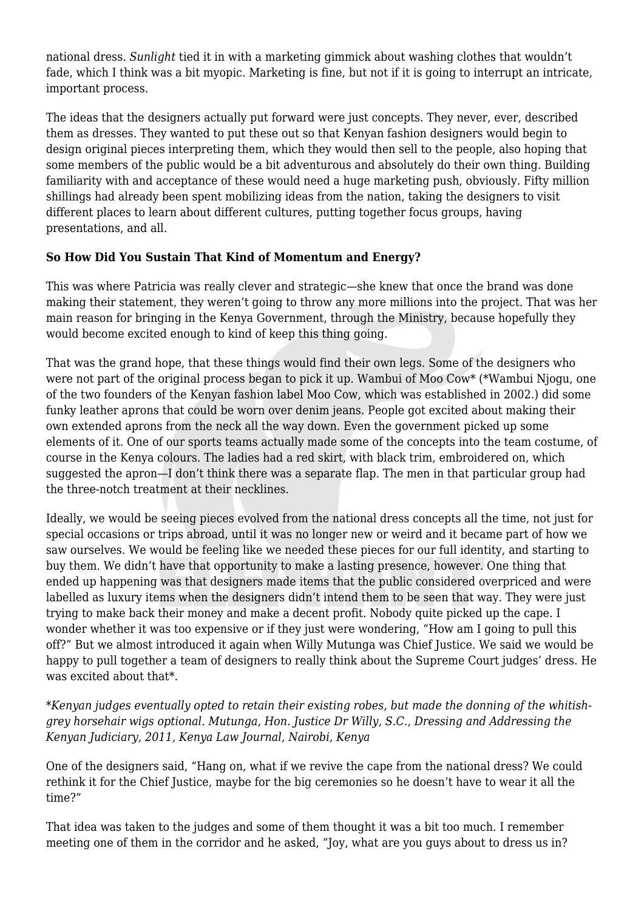national dress. *Sunlight* tied it in with a marketing gimmick about washing clothes that wouldn't fade, which I think was a bit myopic. Marketing is fine, but not if it is going to interrupt an intricate, important process.

The ideas that the designers actually put forward were just concepts. They never, ever, described them as dresses. They wanted to put these out so that Kenyan fashion designers would begin to design original pieces interpreting them, which they would then sell to the people, also hoping that some members of the public would be a bit adventurous and absolutely do their own thing. Building familiarity with and acceptance of these would need a huge marketing push, obviously. Fifty million shillings had already been spent mobilizing ideas from the nation, taking the designers to visit different places to learn about different cultures, putting together focus groups, having presentations, and all.

## **So How Did You Sustain That Kind of Momentum and Energy?**

This was where Patricia was really clever and strategic—she knew that once the brand was done making their statement, they weren't going to throw any more millions into the project. That was her main reason for bringing in the Kenya Government, through the Ministry, because hopefully they would become excited enough to kind of keep this thing going.

That was the grand hope, that these things would find their own legs. Some of the designers who were not part of the original process began to pick it up. Wambui of Moo Cow\* (\*Wambui Njogu, one of the two founders of the Kenyan fashion label Moo Cow, which was established in 2002.) did some funky leather aprons that could be worn over denim jeans. People got excited about making their own extended aprons from the neck all the way down. Even the government picked up some elements of it. One of our sports teams actually made some of the concepts into the team costume, of course in the Kenya colours. The ladies had a red skirt, with black trim, embroidered on, which suggested the apron—I don't think there was a separate flap. The men in that particular group had the three-notch treatment at their necklines.

Ideally, we would be seeing pieces evolved from the national dress concepts all the time, not just for special occasions or trips abroad, until it was no longer new or weird and it became part of how we saw ourselves. We would be feeling like we needed these pieces for our full identity, and starting to buy them. We didn't have that opportunity to make a lasting presence, however. One thing that ended up happening was that designers made items that the public considered overpriced and were labelled as luxury items when the designers didn't intend them to be seen that way. They were just trying to make back their money and make a decent profit. Nobody quite picked up the cape. I wonder whether it was too expensive or if they just were wondering, "How am I going to pull this off?" But we almost introduced it again when Willy Mutunga was Chief Justice. We said we would be happy to pull together a team of designers to really think about the Supreme Court judges' dress. He was excited about that\*.

*\*Kenyan judges eventually opted to retain their existing robes, but made the donning of the whitishgrey horsehair wigs optional. Mutunga, Hon. Justice Dr Willy, S.C., Dressing and Addressing the Kenyan Judiciary, 2011, Kenya Law Journal, Nairobi, Kenya*

One of the designers said, "Hang on, what if we revive the cape from the national dress? We could rethink it for the Chief Justice, maybe for the big ceremonies so he doesn't have to wear it all the time?"

That idea was taken to the judges and some of them thought it was a bit too much. I remember meeting one of them in the corridor and he asked, "Joy, what are you guys about to dress us in?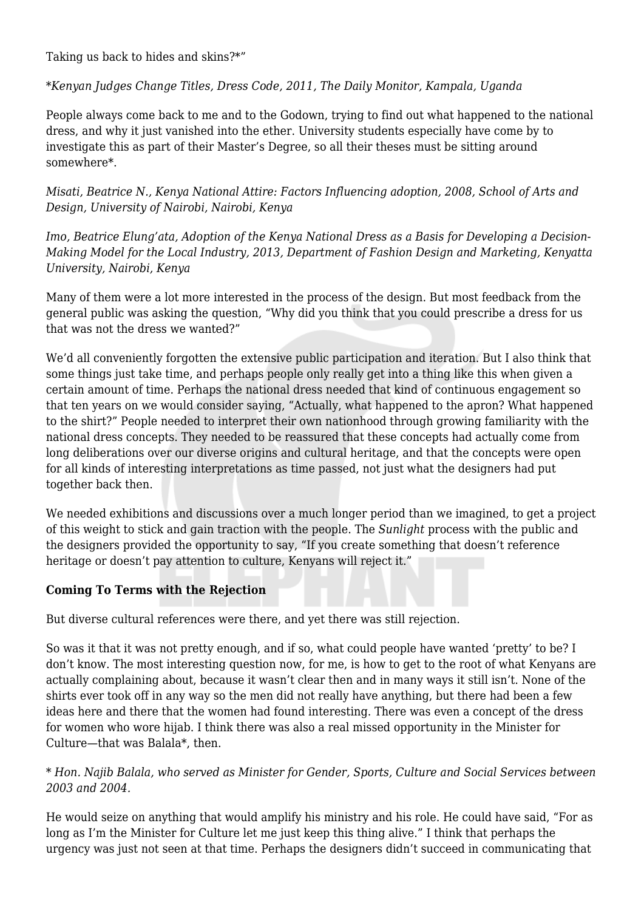Taking us back to hides and skins?\*"

*\*Kenyan Judges Change Titles, Dress Code, 2011, The Daily Monitor, Kampala, Uganda*

People always come back to me and to the Godown, trying to find out what happened to the national dress, and why it just vanished into the ether. University students especially have come by to investigate this as part of their Master's Degree, so all their theses must be sitting around somewhere\*.

*Misati, Beatrice N., Kenya National Attire: Factors Influencing adoption, 2008, School of Arts and Design, University of Nairobi, Nairobi, Kenya*

*Imo, Beatrice Elung'ata, Adoption of the Kenya National Dress as a Basis for Developing a Decision-Making Model for the Local Industry, 2013, Department of Fashion Design and Marketing, Kenyatta University, Nairobi, Kenya*

Many of them were a lot more interested in the process of the design. But most feedback from the general public was asking the question, "Why did you think that you could prescribe a dress for us that was not the dress we wanted?"

We'd all conveniently forgotten the extensive public participation and iteration. But I also think that some things just take time, and perhaps people only really get into a thing like this when given a certain amount of time. Perhaps the national dress needed that kind of continuous engagement so that ten years on we would consider saying, "Actually, what happened to the apron? What happened to the shirt?" People needed to interpret their own nationhood through growing familiarity with the national dress concepts. They needed to be reassured that these concepts had actually come from long deliberations over our diverse origins and cultural heritage, and that the concepts were open for all kinds of interesting interpretations as time passed, not just what the designers had put together back then.

We needed exhibitions and discussions over a much longer period than we imagined, to get a project of this weight to stick and gain traction with the people. The *Sunlight* process with the public and the designers provided the opportunity to say, "If you create something that doesn't reference heritage or doesn't pay attention to culture, Kenyans will reject it."

## **Coming To Terms with the Rejection**

But diverse cultural references were there, and yet there was still rejection.

So was it that it was not pretty enough, and if so, what could people have wanted 'pretty' to be? I don't know. The most interesting question now, for me, is how to get to the root of what Kenyans are actually complaining about, because it wasn't clear then and in many ways it still isn't. None of the shirts ever took off in any way so the men did not really have anything, but there had been a few ideas here and there that the women had found interesting. There was even a concept of the dress for women who wore hijab. I think there was also a real missed opportunity in the Minister for Culture—that was Balala\*, then.

## *\* Hon. Najib Balala, who served as Minister for Gender, Sports, Culture and Social Services between 2003 and 2004.*

He would seize on anything that would amplify his ministry and his role. He could have said, "For as long as I'm the Minister for Culture let me just keep this thing alive." I think that perhaps the urgency was just not seen at that time. Perhaps the designers didn't succeed in communicating that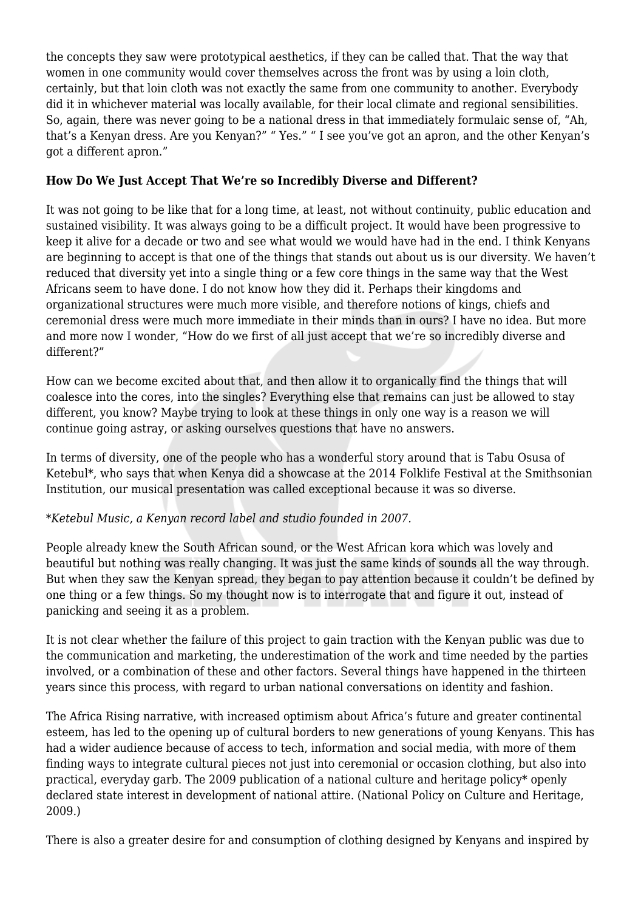the concepts they saw were prototypical aesthetics, if they can be called that. That the way that women in one community would cover themselves across the front was by using a loin cloth, certainly, but that loin cloth was not exactly the same from one community to another. Everybody did it in whichever material was locally available, for their local climate and regional sensibilities. So, again, there was never going to be a national dress in that immediately formulaic sense of, "Ah, that's a Kenyan dress. Are you Kenyan?" " Yes." " I see you've got an apron, and the other Kenyan's got a different apron."

## **How Do We Just Accept That We're so Incredibly Diverse and Different?**

It was not going to be like that for a long time, at least, not without continuity, public education and sustained visibility. It was always going to be a difficult project. It would have been progressive to keep it alive for a decade or two and see what would we would have had in the end. I think Kenyans are beginning to accept is that one of the things that stands out about us is our diversity. We haven't reduced that diversity yet into a single thing or a few core things in the same way that the West Africans seem to have done. I do not know how they did it. Perhaps their kingdoms and organizational structures were much more visible, and therefore notions of kings, chiefs and ceremonial dress were much more immediate in their minds than in ours? I have no idea. But more and more now I wonder, "How do we first of all just accept that we're so incredibly diverse and different?"

How can we become excited about that, and then allow it to organically find the things that will coalesce into the cores, into the singles? Everything else that remains can just be allowed to stay different, you know? Maybe trying to look at these things in only one way is a reason we will continue going astray, or asking ourselves questions that have no answers.

In terms of diversity, one of the people who has a wonderful story around that is Tabu Osusa of Ketebul\*, who says that when Kenya did a showcase at the 2014 Folklife Festival at the Smithsonian Institution, our musical presentation was called exceptional because it was so diverse.

## *\*Ketebul Music, a Kenyan record label and studio founded in 2007.*

People already knew the South African sound, or the West African kora which was lovely and beautiful but nothing was really changing. It was just the same kinds of sounds all the way through. But when they saw the Kenyan spread, they began to pay attention because it couldn't be defined by one thing or a few things. So my thought now is to interrogate that and figure it out, instead of panicking and seeing it as a problem.

It is not clear whether the failure of this project to gain traction with the Kenyan public was due to the communication and marketing, the underestimation of the work and time needed by the parties involved, or a combination of these and other factors. Several things have happened in the thirteen years since this process, with regard to urban national conversations on identity and fashion.

The Africa Rising narrative, with increased optimism about Africa's future and greater continental esteem, has led to the opening up of cultural borders to new generations of young Kenyans. This has had a wider audience because of access to tech, information and social media, with more of them finding ways to integrate cultural pieces not just into ceremonial or occasion clothing, but also into practical, everyday garb. The 2009 publication of a national culture and heritage policy\* openly declared state interest in development of national attire. (National Policy on Culture and Heritage, 2009.)

There is also a greater desire for and consumption of clothing designed by Kenyans and inspired by